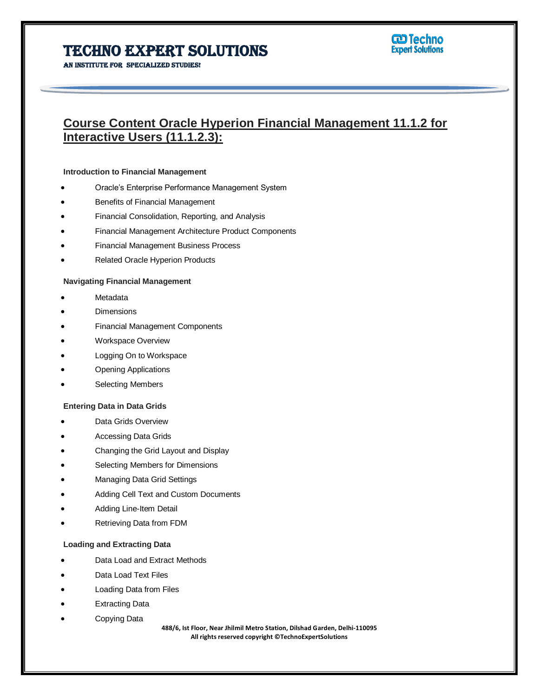An institute for specialized studies!

# **Course Content Oracle Hyperion Financial Management 11.1.2 for Interactive Users (11.1.2.3):**

## **Introduction to Financial Management**

- Oracle's Enterprise Performance Management System
- Benefits of Financial Management
- Financial Consolidation, Reporting, and Analysis
- Financial Management Architecture Product Components
- Financial Management Business Process
- Related Oracle Hyperion Products

## **Navigating Financial Management**

- Metadata
- **Dimensions**
- Financial Management Components
- Workspace Overview
- Logging On to Workspace
- Opening Applications
- Selecting Members

### **Entering Data in Data Grids**

- Data Grids Overview
- Accessing Data Grids
- Changing the Grid Layout and Display
- Selecting Members for Dimensions
- Managing Data Grid Settings
- Adding Cell Text and Custom Documents
- Adding Line-Item Detail
- Retrieving Data from FDM

# **Loading and Extracting Data**

- Data Load and Extract Methods
- Data Load Text Files
- Loading Data from Files
- Extracting Data
- Copying Data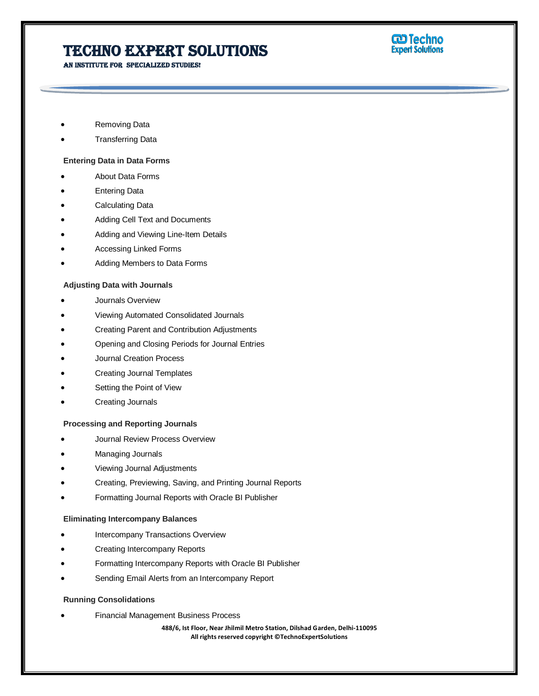An institute for specialized studies!



- Removing Data
- Transferring Data

## **Entering Data in Data Forms**

- About Data Forms
- Entering Data
- Calculating Data
- Adding Cell Text and Documents
- Adding and Viewing Line-Item Details
- Accessing Linked Forms
- Adding Members to Data Forms

## **Adjusting Data with Journals**

- Journals Overview
- Viewing Automated Consolidated Journals
- Creating Parent and Contribution Adjustments
- Opening and Closing Periods for Journal Entries
- Journal Creation Process
- Creating Journal Templates
- Setting the Point of View
- Creating Journals

#### **Processing and Reporting Journals**

- Journal Review Process Overview
- Managing Journals
- Viewing Journal Adjustments
- Creating, Previewing, Saving, and Printing Journal Reports
- Formatting Journal Reports with Oracle BI Publisher

### **Eliminating Intercompany Balances**

- Intercompany Transactions Overview
- Creating Intercompany Reports
- Formatting Intercompany Reports with Oracle BI Publisher
- Sending Email Alerts from an Intercompany Report

## **Running Consolidations**

Financial Management Business Process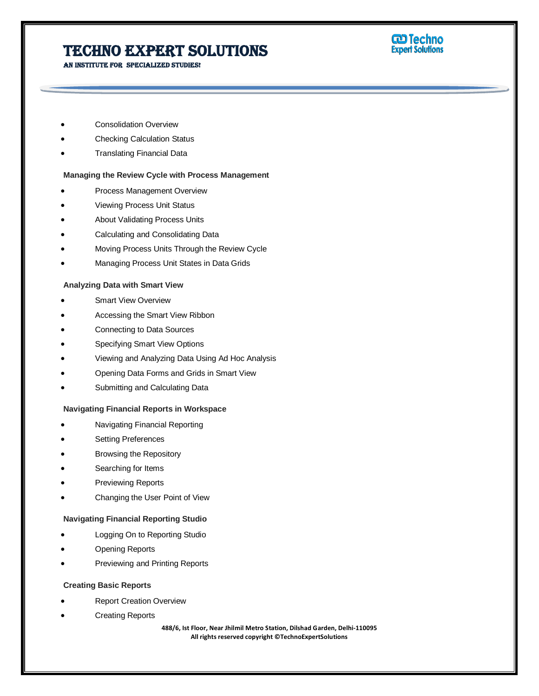An institute for specialized studies!

# **W** Techno<br>Expert Solutions

- Consolidation Overview
- Checking Calculation Status
- Translating Financial Data

# **Managing the Review Cycle with Process Management**

- Process Management Overview
- Viewing Process Unit Status
- About Validating Process Units
- Calculating and Consolidating Data
- Moving Process Units Through the Review Cycle
- Managing Process Unit States in Data Grids

# **Analyzing Data with Smart View**

- Smart View Overview
- Accessing the Smart View Ribbon
- Connecting to Data Sources
- Specifying Smart View Options
- Viewing and Analyzing Data Using Ad Hoc Analysis
- Opening Data Forms and Grids in Smart View
- Submitting and Calculating Data

# **Navigating Financial Reports in Workspace**

- Navigating Financial Reporting
- Setting Preferences
- Browsing the Repository
- Searching for Items
- Previewing Reports
- Changing the User Point of View

# **Navigating Financial Reporting Studio**

- Logging On to Reporting Studio
- Opening Reports
- Previewing and Printing Reports

# **Creating Basic Reports**

- Report Creation Overview
- Creating Reports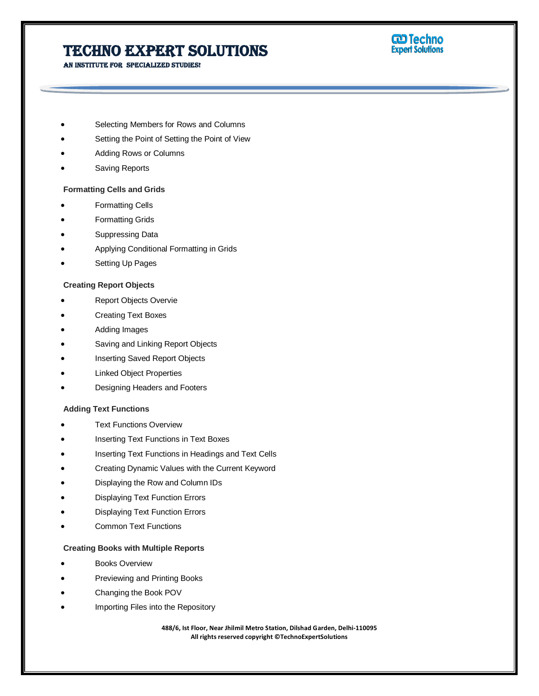**W** Techno<br>Expert Solutions

An institute for specialized studies!

- Selecting Members for Rows and Columns
- Setting the Point of Setting the Point of View
- Adding Rows or Columns
- Saving Reports

## **Formatting Cells and Grids**

- Formatting Cells
- Formatting Grids
- Suppressing Data
- Applying Conditional Formatting in Grids
- Setting Up Pages

# **Creating Report Objects**

- Report Objects Overvie
- Creating Text Boxes
- Adding Images
- Saving and Linking Report Objects
- Inserting Saved Report Objects
- Linked Object Properties
- Designing Headers and Footers

## **Adding Text Functions**

- Text Functions Overview
- Inserting Text Functions in Text Boxes
- Inserting Text Functions in Headings and Text Cells
- Creating Dynamic Values with the Current Keyword
- Displaying the Row and Column IDs
- Displaying Text Function Errors
- Displaying Text Function Errors
- Common Text Functions

# **Creating Books with Multiple Reports**

- Books Overview
- Previewing and Printing Books
- Changing the Book POV
- Importing Files into the Repository